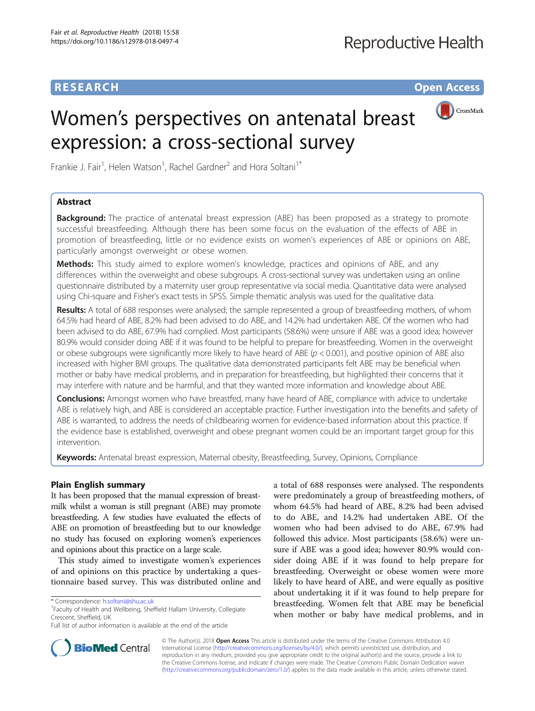# **RESEARCH CHE Open Access**

# CrossMark

# Women's perspectives on antenatal breast expression: a cross-sectional survey

Frankie J. Fair<sup>1</sup>, Helen Watson<sup>1</sup>, Rachel Gardner<sup>2</sup> and Hora Soltani<sup>1\*</sup>

## Abstract

**Background:** The practice of antenatal breast expression (ABE) has been proposed as a strategy to promote successful breastfeeding. Although there has been some focus on the evaluation of the effects of ABE in promotion of breastfeeding, little or no evidence exists on women's experiences of ABE or opinions on ABE, particularly amongst overweight or obese women.

Methods: This study aimed to explore women's knowledge, practices and opinions of ABE, and any differences within the overweight and obese subgroups. A cross-sectional survey was undertaken using an online questionnaire distributed by a maternity user group representative via social media. Quantitative data were analysed using Chi-square and Fisher's exact tests in SPSS. Simple thematic analysis was used for the qualitative data.

Results: A total of 688 responses were analysed; the sample represented a group of breastfeeding mothers, of whom 64.5% had heard of ABE, 8.2% had been advised to do ABE, and 14.2% had undertaken ABE. Of the women who had been advised to do ABE, 67.9% had complied. Most participants (58.6%) were unsure if ABE was a good idea; however 80.9% would consider doing ABE if it was found to be helpful to prepare for breastfeeding. Women in the overweight or obese subgroups were significantly more likely to have heard of ABE ( $p < 0.001$ ), and positive opinion of ABE also increased with higher BMI groups. The qualitative data demonstrated participants felt ABE may be beneficial when mother or baby have medical problems, and in preparation for breastfeeding, but highlighted their concerns that it may interfere with nature and be harmful, and that they wanted more information and knowledge about ABE.

**Conclusions:** Amongst women who have breastfed, many have heard of ABE, compliance with advice to undertake ABE is relatively high, and ABE is considered an acceptable practice. Further investigation into the benefits and safety of ABE is warranted, to address the needs of childbearing women for evidence-based information about this practice. If the evidence base is established, overweight and obese pregnant women could be an important target group for this intervention.

Keywords: Antenatal breast expression, Maternal obesity, Breastfeeding, Survey, Opinions, Compliance

## Plain English summary

It has been proposed that the manual expression of breastmilk whilst a woman is still pregnant (ABE) may promote breastfeeding. A few studies have evaluated the effects of ABE on promotion of breastfeeding but to our knowledge no study has focused on exploring women's experiences and opinions about this practice on a large scale.

This study aimed to investigate women's experiences of and opinions on this practice by undertaking a questionnaire based survey. This was distributed online and a total of 688 responses were analysed. The respondents were predominately a group of breastfeeding mothers, of whom 64.5% had heard of ABE, 8.2% had been advised to do ABE, and 14.2% had undertaken ABE. Of the women who had been advised to do ABE, 67.9% had followed this advice. Most participants (58.6%) were unsure if ABE was a good idea; however 80.9% would consider doing ABE if it was found to help prepare for breastfeeding. Overweight or obese women were more likely to have heard of ABE, and were equally as positive about undertaking it if it was found to help prepare for breastfeeding. Women felt that ABE may be beneficial when mother or baby have medical problems, and in



© The Author(s). 2018 Open Access This article is distributed under the terms of the Creative Commons Attribution 4.0 International License [\(http://creativecommons.org/licenses/by/4.0/](http://creativecommons.org/licenses/by/4.0/)), which permits unrestricted use, distribution, and reproduction in any medium, provided you give appropriate credit to the original author(s) and the source, provide a link to the Creative Commons license, and indicate if changes were made. The Creative Commons Public Domain Dedication waiver [\(http://creativecommons.org/publicdomain/zero/1.0/](http://creativecommons.org/publicdomain/zero/1.0/)) applies to the data made available in this article, unless otherwise stated.

<sup>\*</sup> Correspondence: [h.soltani@shu.ac.uk](mailto:h.soltani@shu.ac.uk) <sup>1</sup>

Faculty of Health and Wellbeing, Sheffield Hallam University, Collegiate Crescent, Sheffield, UK

Full list of author information is available at the end of the article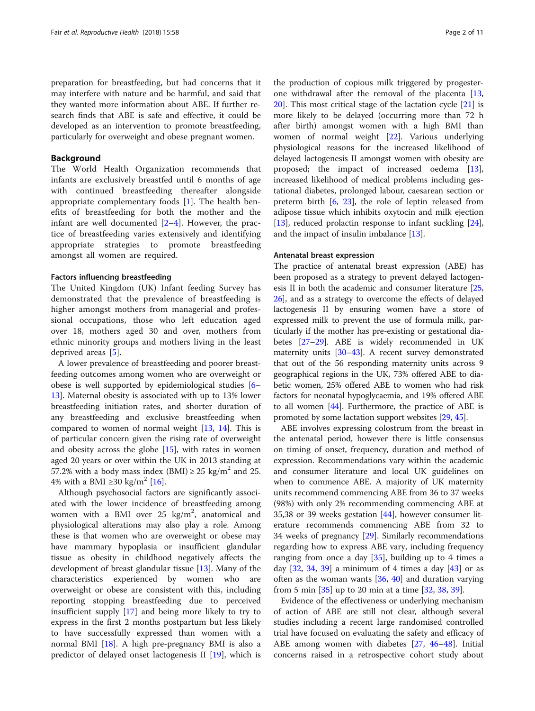preparation for breastfeeding, but had concerns that it may interfere with nature and be harmful, and said that they wanted more information about ABE. If further research finds that ABE is safe and effective, it could be developed as an intervention to promote breastfeeding, particularly for overweight and obese pregnant women.

### Background

The World Health Organization recommends that infants are exclusively breastfed until 6 months of age with continued breastfeeding thereafter alongside appropriate complementary foods [\[1](#page-8-0)]. The health benefits of breastfeeding for both the mother and the infant are well documented  $[2-4]$  $[2-4]$  $[2-4]$  $[2-4]$ . However, the practice of breastfeeding varies extensively and identifying appropriate strategies to promote breastfeeding amongst all women are required.

## Factors influencing breastfeeding

The United Kingdom (UK) Infant feeding Survey has demonstrated that the prevalence of breastfeeding is higher amongst mothers from managerial and professional occupations, those who left education aged over 18, mothers aged 30 and over, mothers from ethnic minority groups and mothers living in the least deprived areas [[5\]](#page-8-0).

A lower prevalence of breastfeeding and poorer breastfeeding outcomes among women who are overweight or obese is well supported by epidemiological studies [[6](#page-8-0)– [13\]](#page-9-0). Maternal obesity is associated with up to 13% lower breastfeeding initiation rates, and shorter duration of any breastfeeding and exclusive breastfeeding when compared to women of normal weight [[13,](#page-9-0) [14\]](#page-9-0). This is of particular concern given the rising rate of overweight and obesity across the globe [[15\]](#page-9-0), with rates in women aged 20 years or over within the UK in 2013 standing at 57.2% with a body mass index (BMI)  $\geq$  25 kg/m<sup>2</sup> and 25. 4% with a BMI ≥30 kg/m<sup>2</sup> [\[16\]](#page-9-0).

Although psychosocial factors are significantly associated with the lower incidence of breastfeeding among women with a BMI over 25  $\text{kg/m}^2$ , anatomical and physiological alterations may also play a role. Among these is that women who are overweight or obese may have mammary hypoplasia or insufficient glandular tissue as obesity in childhood negatively affects the development of breast glandular tissue [\[13\]](#page-9-0). Many of the characteristics experienced by women who are overweight or obese are consistent with this, including reporting stopping breastfeeding due to perceived insufficient supply [\[17](#page-9-0)] and being more likely to try to express in the first 2 months postpartum but less likely to have successfully expressed than women with a normal BMI [\[18\]](#page-9-0). A high pre-pregnancy BMI is also a predictor of delayed onset lactogenesis II [[19\]](#page-9-0), which is

the production of copious milk triggered by progesterone withdrawal after the removal of the placenta [[13](#page-9-0), [20\]](#page-9-0). This most critical stage of the lactation cycle [[21\]](#page-9-0) is more likely to be delayed (occurring more than 72 h after birth) amongst women with a high BMI than women of normal weight [\[22](#page-9-0)]. Various underlying physiological reasons for the increased likelihood of delayed lactogenesis II amongst women with obesity are proposed; the impact of increased oedema [\[13](#page-9-0)], increased likelihood of medical problems including gestational diabetes, prolonged labour, caesarean section or preterm birth [\[6,](#page-8-0) [23\]](#page-9-0), the role of leptin released from adipose tissue which inhibits oxytocin and milk ejection [[13\]](#page-9-0), reduced prolactin response to infant suckling [\[24](#page-9-0)], and the impact of insulin imbalance [\[13](#page-9-0)].

#### Antenatal breast expression

The practice of antenatal breast expression (ABE) has been proposed as a strategy to prevent delayed lactogenesis II in both the academic and consumer literature [[25](#page-9-0), [26](#page-9-0)], and as a strategy to overcome the effects of delayed lactogenesis II by ensuring women have a store of expressed milk to prevent the use of formula milk, particularly if the mother has pre-existing or gestational diabetes [[27](#page-9-0)–[29\]](#page-9-0). ABE is widely recommended in UK maternity units [\[30](#page-9-0)–[43](#page-9-0)]. A recent survey demonstrated that out of the 56 responding maternity units across 9 geographical regions in the UK, 73% offered ABE to diabetic women, 25% offered ABE to women who had risk factors for neonatal hypoglycaemia, and 19% offered ABE to all women [\[44\]](#page-9-0). Furthermore, the practice of ABE is promoted by some lactation support websites [\[29,](#page-9-0) [45](#page-9-0)].

ABE involves expressing colostrum from the breast in the antenatal period, however there is little consensus on timing of onset, frequency, duration and method of expression. Recommendations vary within the academic and consumer literature and local UK guidelines on when to commence ABE. A majority of UK maternity units recommend commencing ABE from 36 to 37 weeks (98%) with only 2% recommending commencing ABE at 35,38 or 39 weeks gestation [[44\]](#page-9-0), however consumer literature recommends commencing ABE from 32 to 34 weeks of pregnancy [[29\]](#page-9-0). Similarly recommendations regarding how to express ABE vary, including frequency ranging from once a day  $[35]$ , building up to 4 times a day  $[32, 34, 39]$  $[32, 34, 39]$  $[32, 34, 39]$  $[32, 34, 39]$  $[32, 34, 39]$  $[32, 34, 39]$  a minimum of 4 times a day  $[43]$  or as often as the woman wants  $[36, 40]$  $[36, 40]$  $[36, 40]$  $[36, 40]$  and duration varying from 5 min [[35](#page-9-0)] up to 20 min at a time [\[32](#page-9-0), [38](#page-9-0), [39\]](#page-9-0).

Evidence of the effectiveness or underlying mechanism of action of ABE are still not clear, although several studies including a recent large randomised controlled trial have focused on evaluating the safety and efficacy of ABE among women with diabetes [\[27](#page-9-0), [46](#page-9-0)–[48](#page-9-0)]. Initial concerns raised in a retrospective cohort study about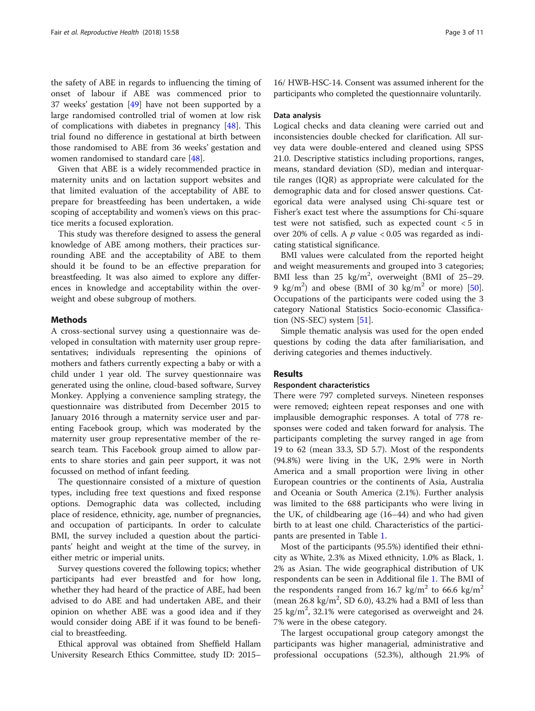the safety of ABE in regards to influencing the timing of onset of labour if ABE was commenced prior to 37 weeks' gestation [\[49\]](#page-9-0) have not been supported by a large randomised controlled trial of women at low risk of complications with diabetes in pregnancy [[48\]](#page-9-0). This trial found no difference in gestational at birth between those randomised to ABE from 36 weeks' gestation and women randomised to standard care [[48\]](#page-9-0).

Given that ABE is a widely recommended practice in maternity units and on lactation support websites and that limited evaluation of the acceptability of ABE to prepare for breastfeeding has been undertaken, a wide scoping of acceptability and women's views on this practice merits a focused exploration.

This study was therefore designed to assess the general knowledge of ABE among mothers, their practices surrounding ABE and the acceptability of ABE to them should it be found to be an effective preparation for breastfeeding. It was also aimed to explore any differences in knowledge and acceptability within the overweight and obese subgroup of mothers.

## Methods

A cross-sectional survey using a questionnaire was developed in consultation with maternity user group representatives; individuals representing the opinions of mothers and fathers currently expecting a baby or with a child under 1 year old. The survey questionnaire was generated using the online, cloud-based software, Survey Monkey. Applying a convenience sampling strategy, the questionnaire was distributed from December 2015 to January 2016 through a maternity service user and parenting Facebook group, which was moderated by the maternity user group representative member of the research team. This Facebook group aimed to allow parents to share stories and gain peer support, it was not focussed on method of infant feeding.

The questionnaire consisted of a mixture of question types, including free text questions and fixed response options. Demographic data was collected, including place of residence, ethnicity, age, number of pregnancies, and occupation of participants. In order to calculate BMI, the survey included a question about the participants' height and weight at the time of the survey, in either metric or imperial units.

Survey questions covered the following topics; whether participants had ever breastfed and for how long, whether they had heard of the practice of ABE, had been advised to do ABE and had undertaken ABE, and their opinion on whether ABE was a good idea and if they would consider doing ABE if it was found to be beneficial to breastfeeding.

Ethical approval was obtained from Sheffield Hallam University Research Ethics Committee, study ID: 2015–

16/ HWB-HSC-14. Consent was assumed inherent for the participants who completed the questionnaire voluntarily.

#### Data analysis

Logical checks and data cleaning were carried out and inconsistencies double checked for clarification. All survey data were double-entered and cleaned using SPSS 21.0. Descriptive statistics including proportions, ranges, means, standard deviation (SD), median and interquartile ranges (IQR) as appropriate were calculated for the demographic data and for closed answer questions. Categorical data were analysed using Chi-square test or Fisher's exact test where the assumptions for Chi-square test were not satisfied, such as expected count < 5 in over 20% of cells. A  $p$  value < 0.05 was regarded as indicating statistical significance.

BMI values were calculated from the reported height and weight measurements and grouped into 3 categories; BMI less than  $25 \text{ kg/m}^2$ , overweight (BMI of  $25-29$ . 9 kg/m<sup>2</sup>) and obese (BMI of 30 kg/m<sup>2</sup> or more) [\[50](#page-9-0)]. Occupations of the participants were coded using the 3 category National Statistics Socio-economic Classification (NS-SEC) system [\[51](#page-9-0)].

Simple thematic analysis was used for the open ended questions by coding the data after familiarisation, and deriving categories and themes inductively.

## Results

## Respondent characteristics

There were 797 completed surveys. Nineteen responses were removed; eighteen repeat responses and one with implausible demographic responses. A total of 778 responses were coded and taken forward for analysis. The participants completing the survey ranged in age from 19 to 62 (mean 33.3, SD 5.7). Most of the respondents (94.8%) were living in the UK, 2.9% were in North America and a small proportion were living in other European countries or the continents of Asia, Australia and Oceania or South America (2.1%). Further analysis was limited to the 688 participants who were living in the UK, of childbearing age (16–44) and who had given birth to at least one child. Characteristics of the participants are presented in Table [1.](#page-3-0)

Most of the participants (95.5%) identified their ethnicity as White, 2.3% as Mixed ethnicity, 1.0% as Black, 1. 2% as Asian. The wide geographical distribution of UK respondents can be seen in Additional file [1](#page-8-0). The BMI of the respondents ranged from 16.7 kg/m<sup>2</sup> to 66.6 kg/m<sup>2</sup> (mean 26.8 kg/m<sup>2</sup>, SD 6.0), 43.2% had a BMI of less than  $25 \text{ kg/m}^2$ ,  $32.1\%$  were categorised as overweight and  $24.$ 7% were in the obese category.

The largest occupational group category amongst the participants was higher managerial, administrative and professional occupations (52.3%), although 21.9% of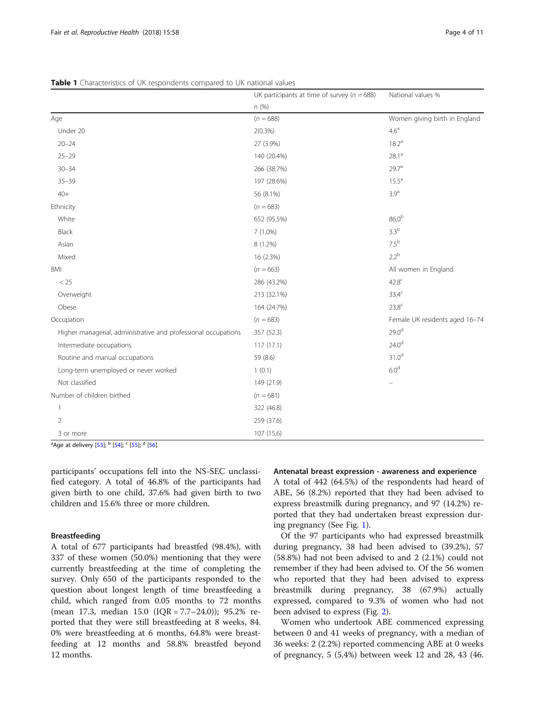|                                                                | UK participants at time of survey ( $n = 688$ ) | National values %              |
|----------------------------------------------------------------|-------------------------------------------------|--------------------------------|
|                                                                | n(%)                                            |                                |
| Age                                                            | $(n = 688)$                                     | Women giving birth in England  |
| Under 20                                                       | 2(0.3%)                                         | 4.6 <sup>a</sup>               |
| $20 - 24$                                                      | 27 (3.9%)                                       | 18.2 <sup>a</sup>              |
| $25 - 29$                                                      | 140 (20.4%)                                     | 28.1 <sup>a</sup>              |
| $30 - 34$                                                      | 266 (38.7%)                                     | 29.7 <sup>a</sup>              |
| $35 - 39$                                                      | 197 (28.6%)                                     | $15.5^{\circ}$                 |
| $40+$                                                          | 56 (8.1%)                                       | 3.9 <sup>a</sup>               |
| Ethnicity                                                      | $(n = 683)$                                     |                                |
| White                                                          | 652 (95.5%)                                     | 86.0 <sup>b</sup>              |
| Black                                                          | $7(1.0\%)$                                      | 3.3 <sup>b</sup>               |
| Asian                                                          | 8 (1.2%)                                        | 7.5 <sup>b</sup>               |
| Mixed                                                          | 16 (2.3%)                                       | 2.2 <sup>b</sup>               |
| BMI                                                            | $(n = 663)$                                     | All women in England           |
| < 25                                                           | 286 (43.2%)                                     | 42.8 <sup>c</sup>              |
| Overweight                                                     | 213 (32.1%)                                     | 33.4 <sup>c</sup>              |
| Obese                                                          | 164 (24.7%)                                     | $23.8^c$                       |
| Occupation                                                     | $(n = 683)$                                     | Female UK residents aged 16-74 |
| Higher managerial, administrative and professional occupations | 357 (52.3)                                      | 29.0 <sup>d</sup>              |
| Intermediate occupations                                       | 117(17.1)                                       | 24.0 <sup>d</sup>              |
| Routine and manual occupations                                 | 59 (8.6)                                        | 31.0 <sup>d</sup>              |
| Long-term unemployed or never worked                           | 1(0.1)                                          | $6.0^{\rm d}$                  |
| Not classified                                                 | 149 (21.9)                                      |                                |
| Number of children birthed                                     | $(n = 681)$                                     |                                |
| 1                                                              | 322 (46.8)                                      |                                |
| 2                                                              | 259 (37.6)                                      |                                |
| 3 or more                                                      | 107 (15.6)                                      |                                |

<span id="page-3-0"></span>Table 1 Characteristics of UK respondents compared to UK national values

<sup>a</sup>Age at delivery [<mark>[53\]](#page-9-0)</mark>; <sup>b</sup> [\[54\]](#page-10-0); <sup>c</sup> [\[55\]](#page-10-0); <sup>d</sup> [\[56](#page-10-0)]

participants' occupations fell into the NS-SEC unclassified category. A total of 46.8% of the participants had given birth to one child, 37.6% had given birth to two children and 15.6% three or more children.

## Breastfeeding

A total of 677 participants had breastfed (98.4%), with 337 of these women (50.0%) mentioning that they were currently breastfeeding at the time of completing the survey. Only 650 of the participants responded to the question about longest length of time breastfeeding a child, which ranged from 0.05 months to 72 months (mean 17.3, median 15.0 (IQR = 7.7–24.0)); 95.2% reported that they were still breastfeeding at 8 weeks, 84. 0% were breastfeeding at 6 months, 64.8% were breastfeeding at 12 months and 58.8% breastfed beyond 12 months.

### Antenatal breast expression - awareness and experience

A total of 442 (64.5%) of the respondents had heard of ABE, 56 (8.2%) reported that they had been advised to express breastmilk during pregnancy, and 97 (14.2%) reported that they had undertaken breast expression during pregnancy (See Fig. [1\)](#page-4-0).

Of the 97 participants who had expressed breastmilk during pregnancy, 38 had been advised to (39.2%), 57 (58.8%) had not been advised to and 2 (2.1%) could not remember if they had been advised to. Of the 56 women who reported that they had been advised to express breastmilk during pregnancy, 38 (67.9%) actually expressed, compared to 9.3% of women who had not been advised to express (Fig. [2\)](#page-4-0).

Women who undertook ABE commenced expressing between 0 and 41 weeks of pregnancy, with a median of 36 weeks: 2 (2.2%) reported commencing ABE at 0 weeks of pregnancy, 5 (5.4%) between week 12 and 28, 43 (46.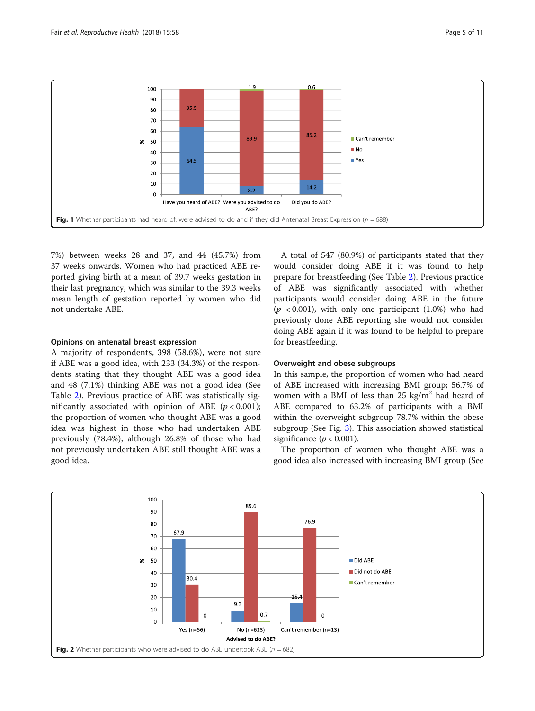<span id="page-4-0"></span>

7%) between weeks 28 and 37, and 44 (45.7%) from 37 weeks onwards. Women who had practiced ABE reported giving birth at a mean of 39.7 weeks gestation in their last pregnancy, which was similar to the 39.3 weeks mean length of gestation reported by women who did not undertake ABE.

## Opinions on antenatal breast expression

A majority of respondents, 398 (58.6%), were not sure if ABE was a good idea, with 233 (34.3%) of the respondents stating that they thought ABE was a good idea and 48 (7.1%) thinking ABE was not a good idea (See Table [2\)](#page-5-0). Previous practice of ABE was statistically significantly associated with opinion of ABE ( $p < 0.001$ ); the proportion of women who thought ABE was a good idea was highest in those who had undertaken ABE previously (78.4%), although 26.8% of those who had not previously undertaken ABE still thought ABE was a good idea.

A total of 547 (80.9%) of participants stated that they would consider doing ABE if it was found to help prepare for breastfeeding (See Table [2](#page-5-0)). Previous practice of ABE was significantly associated with whether participants would consider doing ABE in the future  $(p < 0.001)$ , with only one participant  $(1.0%)$  who had previously done ABE reporting she would not consider doing ABE again if it was found to be helpful to prepare for breastfeeding.

## Overweight and obese subgroups

In this sample, the proportion of women who had heard of ABE increased with increasing BMI group; 56.7% of women with a BMI of less than 25  $\text{kg/m}^2$  had heard of ABE compared to 63.2% of participants with a BMI within the overweight subgroup 78.7% within the obese subgroup (See Fig. [3\)](#page-5-0). This association showed statistical significance ( $p < 0.001$ ).

The proportion of women who thought ABE was a good idea also increased with increasing BMI group (See

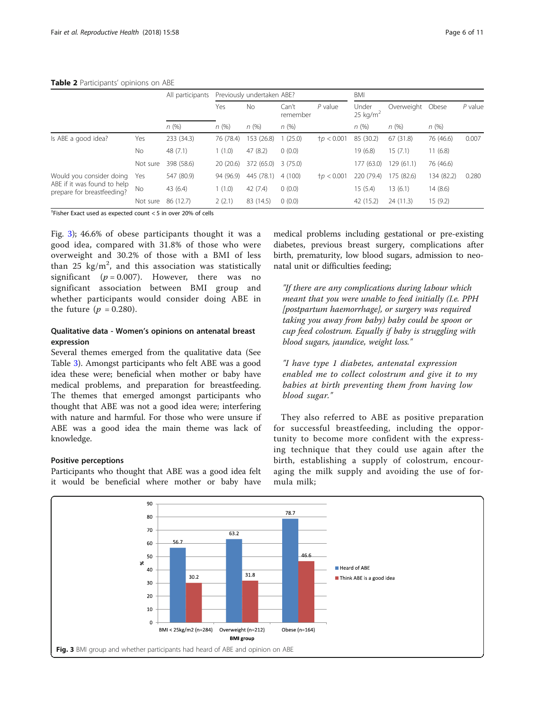#### <span id="page-5-0"></span>Table 2 Participants' opinions on ABE

|                                                                                       |           | All participants<br>n(%) | Previously undertaken ABE? |            |                   | BMI          |                              |                  |            |           |
|---------------------------------------------------------------------------------------|-----------|--------------------------|----------------------------|------------|-------------------|--------------|------------------------------|------------------|------------|-----------|
|                                                                                       |           |                          | Yes                        | <b>No</b>  | Can't<br>remember | $P$ value    | Under<br>$25 \text{ kg/m}^2$ | Overweight Obese |            | $P$ value |
|                                                                                       |           |                          | n(%)                       | n(%)       | n(%)              |              | n(%)                         | n(%)             | n(%)       |           |
| Is ABE a good idea?                                                                   | Yes       | 233 (34.3)               | 76 (78.4)                  | 153 (26.8) | (25.0)            | $+p < 0.001$ | 85 (30.2)                    | 67 (31.8)        | 76 (46.6)  | 0.007     |
|                                                                                       | <b>No</b> | 48 (7.1)                 | 1(1.0)                     | 47(8.2)    | 0(0.0)            |              | 19(6.8)                      | 15(7.1)          | 11(6.8)    |           |
|                                                                                       | Not sure  | 398 (58.6)               | 20(20.6)                   | 372 (65.0) | 3(75.0)           |              | 177 (63.0)                   | 129(61.1)        | 76 (46.6)  |           |
| Would you consider doing<br>ABE if it was found to help<br>prepare for breastfeeding? | Yes       | 547 (80.9)               | 94 (96.9)                  | 445 (78.1) | 4 (100)           | $+p < 0.001$ | 220 (79.4)                   | 175 (82.6)       | 134 (82.2) | 0.280     |
|                                                                                       | <b>No</b> | 43 (6.4)                 | 1(1.0)                     | 42 (7.4)   | 0(0.0)            |              | 15(5.4)                      | 13(6.1)          | 14(8.6)    |           |
|                                                                                       | Not sure  | 86 (12.7)                | 2(2.1)                     | 83 (14.5)  | 0(0.0)            |              | 42 (15.2)                    | 24(11.3)         | 15(9.2)    |           |

† Fisher Exact used as expected count < 5 in over 20% of cells

Fig. 3); 46.6% of obese participants thought it was a good idea, compared with 31.8% of those who were overweight and 30.2% of those with a BMI of less than 25 kg/m<sup>2</sup>, and this association was statistically significant ( $p = 0.007$ ). However, there was no significant association between BMI group and whether participants would consider doing ABE in the future  $(p = 0.280)$ .

## Qualitative data - Women's opinions on antenatal breast expression

Several themes emerged from the qualitative data (See Table [3\)](#page-6-0). Amongst participants who felt ABE was a good idea these were; beneficial when mother or baby have medical problems, and preparation for breastfeeding. The themes that emerged amongst participants who thought that ABE was not a good idea were; interfering with nature and harmful. For those who were unsure if ABE was a good idea the main theme was lack of knowledge.

## Positive perceptions

Participants who thought that ABE was a good idea felt it would be beneficial where mother or baby have

medical problems including gestational or pre-existing diabetes, previous breast surgery, complications after birth, prematurity, low blood sugars, admission to neonatal unit or difficulties feeding;

"If there are any complications during labour which meant that you were unable to feed initially (I.e. PPH [postpartum haemorrhage], or surgery was required taking you away from baby) baby could be spoon or cup feed colostrum. Equally if baby is struggling with blood sugars, jaundice, weight loss."

"I have type 1 diabetes, antenatal expression enabled me to collect colostrum and give it to my babies at birth preventing them from having low blood sugar."

They also referred to ABE as positive preparation for successful breastfeeding, including the opportunity to become more confident with the expressing technique that they could use again after the birth, establishing a supply of colostrum, encouraging the milk supply and avoiding the use of formula milk;

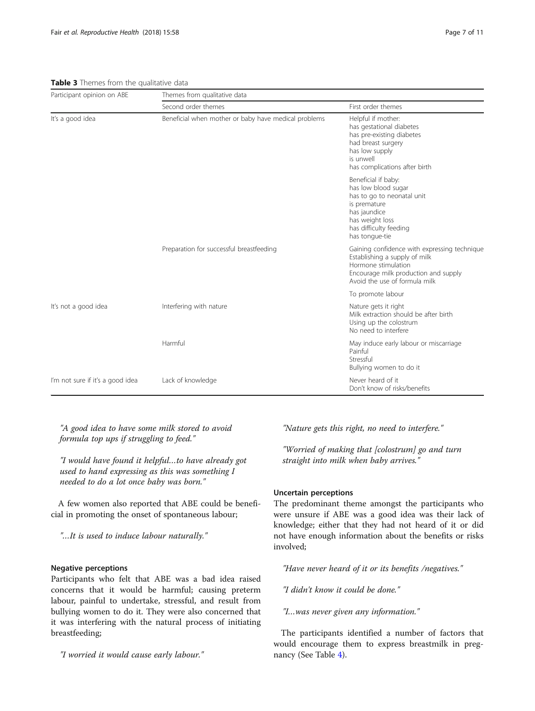<span id="page-6-0"></span>Table 3 Themes from the qualitative data

| Participant opinion on ABE       | Themes from qualitative data                         |                                                                                                                                                                               |  |  |  |  |
|----------------------------------|------------------------------------------------------|-------------------------------------------------------------------------------------------------------------------------------------------------------------------------------|--|--|--|--|
|                                  | Second order themes                                  | First order themes                                                                                                                                                            |  |  |  |  |
| It's a good idea                 | Beneficial when mother or baby have medical problems | Helpful if mother:<br>has gestational diabetes<br>has pre-existing diabetes<br>had breast surgery<br>has low supply<br>is unwell<br>has complications after birth             |  |  |  |  |
|                                  |                                                      | Beneficial if baby:<br>has low blood sugar<br>has to go to neonatal unit<br>is premature<br>has jaundice<br>has weight loss<br>has difficulty feeding<br>has tongue-tie       |  |  |  |  |
|                                  | Preparation for successful breastfeeding             | Gaining confidence with expressing technique<br>Establishing a supply of milk<br>Hormone stimulation<br>Encourage milk production and supply<br>Avoid the use of formula milk |  |  |  |  |
|                                  |                                                      | To promote labour                                                                                                                                                             |  |  |  |  |
| It's not a good idea             | Interfering with nature                              | Nature gets it right<br>Milk extraction should be after birth<br>Using up the colostrum<br>No need to interfere                                                               |  |  |  |  |
|                                  | Harmful                                              | May induce early labour or miscarriage<br>Painful<br>Stressful<br>Bullying women to do it                                                                                     |  |  |  |  |
| I'm not sure if it's a good idea | Lack of knowledge                                    | Never heard of it<br>Don't know of risks/benefits                                                                                                                             |  |  |  |  |

"A good idea to have some milk stored to avoid formula top ups if struggling to feed."

"I would have found it helpful…to have already got used to hand expressing as this was something I needed to do a lot once baby was born."

A few women also reported that ABE could be beneficial in promoting the onset of spontaneous labour;

"…It is used to induce labour naturally."

## Negative perceptions

Participants who felt that ABE was a bad idea raised concerns that it would be harmful; causing preterm labour, painful to undertake, stressful, and result from bullying women to do it. They were also concerned that it was interfering with the natural process of initiating breastfeeding;

"I worried it would cause early labour."

"Nature gets this right, no need to interfere."

"Worried of making that [colostrum] go and turn straight into milk when baby arrives."

## Uncertain perceptions

The predominant theme amongst the participants who were unsure if ABE was a good idea was their lack of knowledge; either that they had not heard of it or did not have enough information about the benefits or risks involved;

"Have never heard of it or its benefits /negatives."

"I didn't know it could be done."

"I…was never given any information."

The participants identified a number of factors that would encourage them to express breastmilk in pregnancy (See Table [4](#page-7-0)).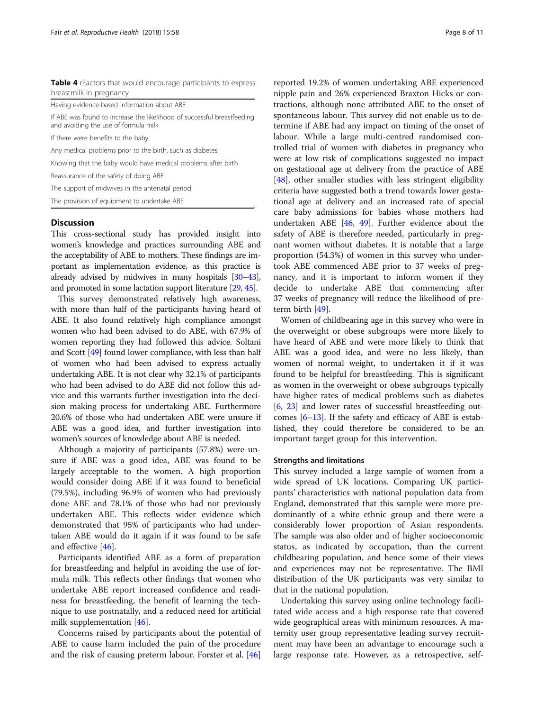<span id="page-7-0"></span>Table 4 rFactors that would encourage participants to express breastmilk in pregnancy

Having evidence-based information about ABE

If ABE was found to increase the likelihood of successful breastfeeding and avoiding the use of formula milk

If there were benefits to the baby

Any medical problems prior to the birth, such as diabetes

Knowing that the baby would have medical problems after birth

Reassurance of the safety of doing ABE

The support of midwives in the antenatal period

The provision of equipment to undertake ABE

#### **Discussion**

This cross-sectional study has provided insight into women's knowledge and practices surrounding ABE and the acceptability of ABE to mothers. These findings are important as implementation evidence, as this practice is already advised by midwives in many hospitals [[30](#page-9-0)–[43](#page-9-0)], and promoted in some lactation support literature [[29](#page-9-0), [45](#page-9-0)].

This survey demonstrated relatively high awareness, with more than half of the participants having heard of ABE. It also found relatively high compliance amongst women who had been advised to do ABE, with 67.9% of women reporting they had followed this advice. Soltani and Scott [[49](#page-9-0)] found lower compliance, with less than half of women who had been advised to express actually undertaking ABE. It is not clear why 32.1% of participants who had been advised to do ABE did not follow this advice and this warrants further investigation into the decision making process for undertaking ABE. Furthermore 20.6% of those who had undertaken ABE were unsure if ABE was a good idea, and further investigation into women's sources of knowledge about ABE is needed.

Although a majority of participants (57.8%) were unsure if ABE was a good idea, ABE was found to be largely acceptable to the women. A high proportion would consider doing ABE if it was found to beneficial (79.5%), including 96.9% of women who had previously done ABE and 78.1% of those who had not previously undertaken ABE. This reflects wider evidence which demonstrated that 95% of participants who had undertaken ABE would do it again if it was found to be safe and effective [\[46](#page-9-0)].

Participants identified ABE as a form of preparation for breastfeeding and helpful in avoiding the use of formula milk. This reflects other findings that women who undertake ABE report increased confidence and readiness for breastfeeding, the benefit of learning the technique to use postnatally, and a reduced need for artificial milk supplementation [\[46](#page-9-0)].

Concerns raised by participants about the potential of ABE to cause harm included the pain of the procedure and the risk of causing preterm labour. Forster et al. [[46](#page-9-0)]

reported 19.2% of women undertaking ABE experienced nipple pain and 26% experienced Braxton Hicks or contractions, although none attributed ABE to the onset of spontaneous labour. This survey did not enable us to determine if ABE had any impact on timing of the onset of labour. While a large multi-centred randomised controlled trial of women with diabetes in pregnancy who were at low risk of complications suggested no impact on gestational age at delivery from the practice of ABE [[48\]](#page-9-0), other smaller studies with less stringent eligibility criteria have suggested both a trend towards lower gestational age at delivery and an increased rate of special care baby admissions for babies whose mothers had undertaken ABE  $[46, 49]$  $[46, 49]$  $[46, 49]$  $[46, 49]$ . Further evidence about the safety of ABE is therefore needed, particularly in pregnant women without diabetes. It is notable that a large proportion (54.3%) of women in this survey who undertook ABE commenced ABE prior to 37 weeks of pregnancy, and it is important to inform women if they decide to undertake ABE that commencing after 37 weeks of pregnancy will reduce the likelihood of preterm birth [\[49\]](#page-9-0).

Women of childbearing age in this survey who were in the overweight or obese subgroups were more likely to have heard of ABE and were more likely to think that ABE was a good idea, and were no less likely, than women of normal weight, to undertaken it if it was found to be helpful for breastfeeding. This is significant as women in the overweight or obese subgroups typically have higher rates of medical problems such as diabetes [[6,](#page-8-0) [23\]](#page-9-0) and lower rates of successful breastfeeding outcomes [\[6](#page-8-0)–[13\]](#page-9-0). If the safety and efficacy of ABE is established, they could therefore be considered to be an important target group for this intervention.

## Strengths and limitations

This survey included a large sample of women from a wide spread of UK locations. Comparing UK participants' characteristics with national population data from England, demonstrated that this sample were more predominantly of a white ethnic group and there were a considerably lower proportion of Asian respondents. The sample was also older and of higher socioeconomic status, as indicated by occupation, than the current childbearing population, and hence some of their views and experiences may not be representative. The BMI distribution of the UK participants was very similar to that in the national population.

Undertaking this survey using online technology facilitated wide access and a high response rate that covered wide geographical areas with minimum resources. A maternity user group representative leading survey recruitment may have been an advantage to encourage such a large response rate. However, as a retrospective, self-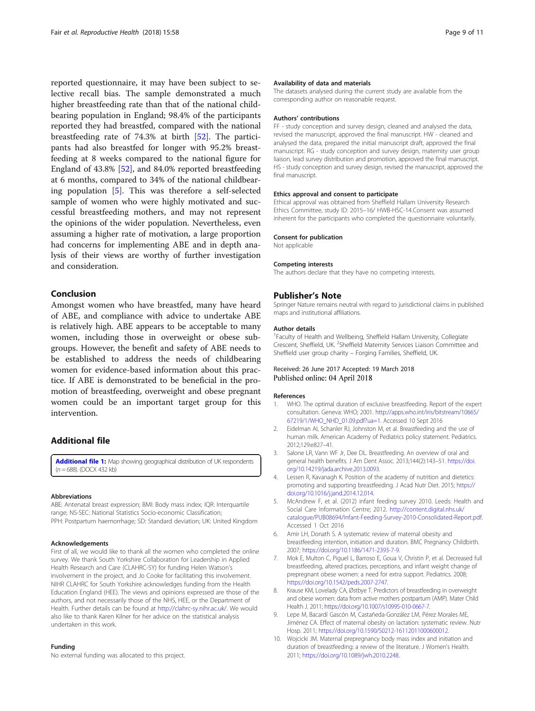<span id="page-8-0"></span>reported questionnaire, it may have been subject to selective recall bias. The sample demonstrated a much higher breastfeeding rate than that of the national childbearing population in England; 98.4% of the participants reported they had breastfed, compared with the national breastfeeding rate of 74.3% at birth [\[52](#page-9-0)]. The participants had also breastfed for longer with 95.2% breastfeeding at 8 weeks compared to the national figure for England of 43.8% [[52](#page-9-0)], and 84.0% reported breastfeeding at 6 months, compared to 34% of the national childbearing population [5]. This was therefore a self-selected sample of women who were highly motivated and successful breastfeeding mothers, and may not represent the opinions of the wider population. Nevertheless, even assuming a higher rate of motivation, a large proportion had concerns for implementing ABE and in depth analysis of their views are worthy of further investigation and consideration.

## Conclusion

Amongst women who have breastfed, many have heard of ABE, and compliance with advice to undertake ABE is relatively high. ABE appears to be acceptable to many women, including those in overweight or obese subgroups. However, the benefit and safety of ABE needs to be established to address the needs of childbearing women for evidence-based information about this practice. If ABE is demonstrated to be beneficial in the promotion of breastfeeding, overweight and obese pregnant women could be an important target group for this intervention.

## Additional file

[Additional file 1:](https://doi.org/10.1186/s12978-018-0497-4) Map showing geographical distribution of UK respondents  $(n = 688)$ . (DOCX 432 kb)

#### Abbreviations

ABE: Antenatal breast expression; BMI: Body mass index; IQR: Interquartile range; NS-SEC: National Statistics Socio-economic Classification; PPH: Postpartum haemorrhage; SD: Standard deviation; UK: United Kingdom

#### Acknowledgements

First of all, we would like to thank all the women who completed the online survey. We thank South Yorkshire Collaboration for Leadership in Applied Health Research and Care (CLAHRC-SY) for funding Helen Watson's involvement in the project, and Jo Cooke for facilitating this involvement. NIHR CLAHRC for South Yorkshire acknowledges funding from the Health Education England (HEE). The views and opinions expressed are those of the authors, and not necessarily those of the NHS, HEE, or the Department of Health. Further details can be found at <http://clahrc-sy.nihr.ac.uk/>. We would also like to thank Karen Kilner for her advice on the statistical analysis undertaken in this work.

## Funding

No external funding was allocated to this project.

#### Availability of data and materials

The datasets analysed during the current study are available from the corresponding author on reasonable request.

#### Authors' contributions

FF - study conception and survey design, cleaned and analysed the data, revised the manuscript, approved the final manuscript. HW - cleaned and analysed the data, prepared the initial manuscript draft, approved the final manuscript. RG - study conception and survey design, maternity user group liaison, lead survey distribution and promotion, approved the final manuscript. HS - study conception and survey design, revised the manuscript, approved the final manuscript.

#### Ethics approval and consent to participate

Ethical approval was obtained from Sheffield Hallam University Research Ethics Committee, study ID: 2015–16/ HWB-HSC-14.Consent was assumed inherent for the participants who completed the questionnaire voluntarily.

#### Consent for publication

Not applicable

#### Competing interests

The authors declare that they have no competing interests.

#### Publisher's Note

Springer Nature remains neutral with regard to jurisdictional claims in published maps and institutional affiliations.

#### Author details

<sup>1</sup> Faculty of Health and Wellbeing, Sheffield Hallam University, Collegiate Crescent, Sheffield, UK. <sup>2</sup>Sheffield Maternity Services Liaison Committee and Sheffield user group charity – Forging Families, Sheffield, UK.

#### Received: 26 June 2017 Accepted: 19 March 2018 Published online: 04 April 2018

#### References

- 1. WHO. The optimal duration of exclusive breastfeeding. Report of the expert consultation. Geneva: WHO; 2001. [http://apps.who.int/iris/bitstream/10665/](http://apps.who.int/iris/bitstream/10665/67219/1/WHO_NHD_01.09.pdf?ua=1) [67219/1/WHO\\_NHD\\_01.09.pdf?ua=1.](http://apps.who.int/iris/bitstream/10665/67219/1/WHO_NHD_01.09.pdf?ua=1) Accessed 10 Sept 2016
- 2. Eidelman AI, Schanler RJ, Johnston M, et al. Breastfeeding and the use of human milk. American Academy of Pediatrics policy statement. Pediatrics. 2012;129:e827–41.
- 3. Salone LR, Vann WF Jr, Dee DL. Breastfeeding. An overview of oral and general health benefits. J Am Dent Assoc. 2013;144(2):143–51. [https://doi.](https://doi.org/10.14219/jada.archive.2013.0093) [org/10.14219/jada.archive.2013.0093](https://doi.org/10.14219/jada.archive.2013.0093).
- 4. Lessen R, Kavanagh K. Position of the academy of nutrition and dietetics: promoting and supporting breastfeeding. J Acad Nutr Diet. 2015; [https://](https://doi.org/10.1016/j.jand.2014.12.014) [doi.org/10.1016/j.jand.2014.12.014.](https://doi.org/10.1016/j.jand.2014.12.014)
- 5. McAndrew F, et al. (2012) infant feeding survey 2010. Leeds: Health and Social Care Information Centre; 2012. [http://content.digital.nhs.uk/](http://content.digital.nhs.uk/catalogue/PUB08694/Infant-Feeding-Survey-2010-Consolidated-Report.pdf) [catalogue/PUB08694/Infant-Feeding-Survey-2010-Consolidated-Report.pdf](http://content.digital.nhs.uk/catalogue/PUB08694/Infant-Feeding-Survey-2010-Consolidated-Report.pdf). Accessed 1 Oct 2016
- 6. Amir LH, Donath S. A systematic review of maternal obesity and breastfeeding intention, initiation and duration. BMC Pregnancy Childbirth. 2007; <https://doi.org/10.1186/1471-2393-7-9>.
- 7. Mok E, Multon C, Piguel L, Barroso E, Goua V, Christin P, et al. Decreased full breastfeeding, altered practices, perceptions, and infant weight change of prepregnant obese women: a need for extra support. Pediatrics. 2008; <https://doi.org/10.1542/peds.2007-2747>.
- 8. Krause KM, Lovelady CA, Østbye T. Predictors of breastfeeding in overweight and obese women: data from active mothers postpartum (AMP). Mater Child Health J. 2011; [https://doi.org/10.1007/s10995-010-0667-7.](https://doi.org/10.1007/s10995-010-0667-7)
- 9. Lepe M, Bacardí Gascón M, Castañeda-González LM, Pérez Morales ME, Jiménez CA. Effect of maternal obesity on lactation: systematic review. Nutr Hosp. 2011; [https://doi.org/10.1590/S0212-16112011000600012.](https://doi.org/10.1590/S0212-16112011000600012)
- 10. Wojcicki JM. Maternal prepregnancy body mass index and initiation and duration of breastfeeding: a review of the literature. J Women's Health. 2011; [https://doi.org/10.1089/jwh.2010.2248.](https://doi.org/10.1089/jwh.2010.2248)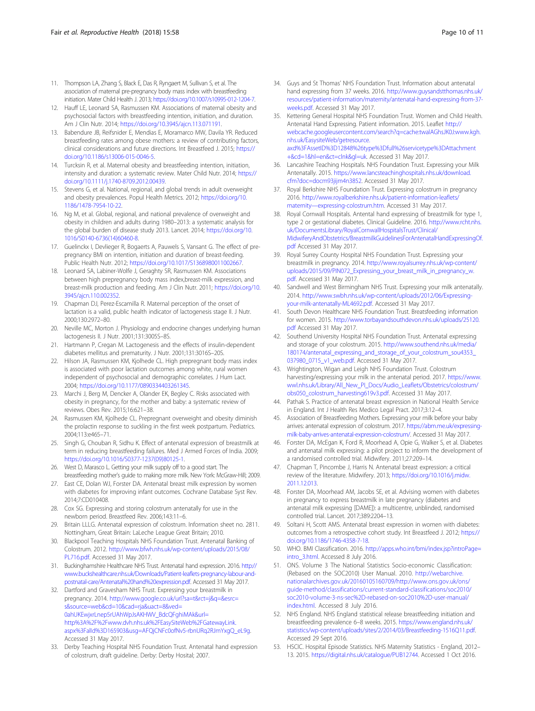- <span id="page-9-0"></span>11. Thompson LA, Zhang S, Black E, Das R, Ryngaert M, Sullivan S, et al. The association of maternal pre-pregnancy body mass index with breastfeeding initiation. Mater Child Health J. 2013; <https://doi.org/10.1007/s10995-012-1204-7>.
- 12. Hauff LE, Leonard SA, Rasmussen KM. Associations of maternal obesity and psychosocial factors with breastfeeding intention, initiation, and duration. Am J Clin Nutr. 2014; [https://doi.org/10.3945/ajcn.113.071191.](https://doi.org/10.3945/ajcn.113.071191)
- 13. Babendure JB, Reifsnider E, Mendias E, Moramarco MW, Davila YR. Reduced breastfeeding rates among obese mothers: a review of contributing factors, clinical considerations and future directions. Int Breastfeed J. 2015; [https://](https://doi.org/10.1186/s13006-015-0046-5) [doi.org/10.1186/s13006-015-0046-5](https://doi.org/10.1186/s13006-015-0046-5).
- 14. Turcksin R, et al. Maternal obesity and breastfeeding intention, initiation, intensity and duration: a systematic review. Mater Child Nutr. 2014; [https://](https://doi.org/10.1111/j.1740-8709.2012.00439) [doi.org/10.1111/j.1740-8709.2012.00439](https://doi.org/10.1111/j.1740-8709.2012.00439).
- 15. Stevens G, et al. National, regional, and global trends in adult overweight and obesity prevalences. Popul Health Metrics. 2012; [https://doi.org/10.](https://doi.org/10.1186/1478-7954-10-22) [1186/1478-7954-10-22.](https://doi.org/10.1186/1478-7954-10-22)
- 16. Ng M, et al. Global, regional, and national prevalence of overweight and obesity in children and adults during 1980–2013: a systematic analysis for the global burden of disease study 2013. Lancet. 2014; [https://doi.org/10.](https://doi.org/10.1016/S0140-6736(14)60460-8) [1016/S0140-6736\(14\)60460-8.](https://doi.org/10.1016/S0140-6736(14)60460-8)
- 17. Guelinckx I, Devlieger R, Bogaerts A, Pauwels S, Vansant G. The effect of prepregnancy BMI on intention, initiation and duration of breast-feeding. Public Health Nutr. 2012; [https://doi.org/10.1017/S1368980011002667.](https://doi.org/10.1017/S1368980011002667)
- 18. Leonard SA, Labiner-Wolfe J, Geraghty SR, Rasmussen KM. Associations between high prepregnancy body mass index,breast-milk expression, and breast-milk production and feeding. Am J Clin Nutr. 2011; [https://doi.org/10.](https://doi.org/10.3945/ajcn.110.002352) [3945/ajcn.110.002352](https://doi.org/10.3945/ajcn.110.002352).
- 19. Chapman DJ, Perez-Escamilla R. Maternal perception of the onset of lactation is a valid, public health indicator of lactogenesis stage II. J Nutr. 2000;130:2972–80.
- 20. Neville MC, Morton J. Physiology and endocrine changes underlying human lactogenesis II. J Nutr. 2001;131:3005S–8S.
- 21. Hartmann P, Cregan M. Lactogenesis and the effects of insulin-dependent diabetes mellitus and prematurity. J Nutr. 2001;131:3016S–20S.
- 22. Hilson JA, Rasmussen KM, Kjolhede CL. High prepregnant body mass index is associated with poor lactation outcomes among white, rural women independent of psychosocial and demographic correlates. J Hum Lact. 2004; [https://doi.org/10.1177/0890334403261345.](https://doi.org/10.1177/0890334403261345)
- 23. Marchi J, Berg M, Dencker A, Olander EK, Begley C. Risks associated with obesity in pregnancy, for the mother and baby: a systematic review of reviews. Obes Rev. 2015;16:621–38.
- 24. Rasmussen KM, Kjolhede CL. Prepregnant overweight and obesity diminish the prolactin response to suckling in the first week postpartum. Pediatrics. 2004;113:e465–71.
- 25. Singh G, Chouban R, Sidhu K. Effect of antenatal expression of breastmilk at term in reducing breastfeeding failures. Med J Armed Forces of India. 2009; [https://doi.org/10.1016/S0377-1237\(09\)80125-1.](https://doi.org/10.1016/S0377-1237(09)80125-1)
- 26. West D, Marasco L. Getting your milk supply off to a good start. The breastfeeding mother's guide to making more milk. New York: McGraw-Hill; 2009.
- 27. East CE, Dolan WJ, Forster DA. Antenatal breast milk expression by women with diabetes for improving infant outcomes. Cochrane Database Syst Rev. 2014;7:CD010408.
- 28. Cox SG. Expressing and storing colostrum antenatally for use in the newborn period. Breastfeed Rev. 2006;143:11–6.
- 29. Britain LLLG. Antenatal expression of colostrum. Information sheet no. 2811. Nottingham, Great Britain: LaLeche League Great Britain; 2010.
- 30. Blackpool Teaching Hospitals NHS Foundation Trust. Antenatal Banking of Colostrum. 2012. [http://www.bfwh.nhs.uk/wp-content/uploads/2015/08/](http://www.bfwh.nhs.uk/wp-content/uploads/2015/08/PL716.pdf) [PL716.pdf](http://www.bfwh.nhs.uk/wp-content/uploads/2015/08/PL716.pdf). Accessed 31 May 2017.
- 31. Buckinghamshire Healthcare NHS Trust. Antenatal hand expression. 2016. [http://](http://www.buckshealthcare.nhs.uk/Downloads/Patient-leaflets-pregnancy-labour-and-postnatal-care/Antenatal%20hand%20expression.pdf) [www.buckshealthcare.nhs.uk/Downloads/Patient-leaflets-pregnancy-labour-and](http://www.buckshealthcare.nhs.uk/Downloads/Patient-leaflets-pregnancy-labour-and-postnatal-care/Antenatal%20hand%20expression.pdf)[postnatal-care/Antenatal%20hand%20expression.pdf.](http://www.buckshealthcare.nhs.uk/Downloads/Patient-leaflets-pregnancy-labour-and-postnatal-care/Antenatal%20hand%20expression.pdf) Accessed 31 May 2017.
- 32. Dartford and Gravesham NHS Trust. Expressing your breastmilk in pregnancy. 2014. [http://www.google.co.uk/url?sa=t&rct=j&q=&esrc=](http://www.google.co.uk/url?sa=t&rct=j&q=&esrc=s&source=web&cd=10&cad=rja&uact=8&ved=0ahUKEwjxrLnep5rUAhWpJsAKHWV_BdcQFghiMAk&url=http%3A%2F%2Fwww.dvh.nhs.uk%2FEasySiteWeb%2FGatewayLink.aspx%3FalId%3D165903&usg=AFQjCNFc0ofNv5-rbnURq2RJmYxgQ_eL9g) [s&source=web&cd=10&cad=rja&uact=8&ved=](http://www.google.co.uk/url?sa=t&rct=j&q=&esrc=s&source=web&cd=10&cad=rja&uact=8&ved=0ahUKEwjxrLnep5rUAhWpJsAKHWV_BdcQFghiMAk&url=http%3A%2F%2Fwww.dvh.nhs.uk%2FEasySiteWeb%2FGatewayLink.aspx%3FalId%3D165903&usg=AFQjCNFc0ofNv5-rbnURq2RJmYxgQ_eL9g) [0ahUKEwjxrLnep5rUAhWpJsAKHWV\\_BdcQFghiMAk&url=](http://www.google.co.uk/url?sa=t&rct=j&q=&esrc=s&source=web&cd=10&cad=rja&uact=8&ved=0ahUKEwjxrLnep5rUAhWpJsAKHWV_BdcQFghiMAk&url=http%3A%2F%2Fwww.dvh.nhs.uk%2FEasySiteWeb%2FGatewayLink.aspx%3FalId%3D165903&usg=AFQjCNFc0ofNv5-rbnURq2RJmYxgQ_eL9g) [http%3A%2F%2Fwww.dvh.nhs.uk%2FEasySiteWeb%2FGatewayLink.](http://www.google.co.uk/url?sa=t&rct=j&q=&esrc=s&source=web&cd=10&cad=rja&uact=8&ved=0ahUKEwjxrLnep5rUAhWpJsAKHWV_BdcQFghiMAk&url=http%3A%2F%2Fwww.dvh.nhs.uk%2FEasySiteWeb%2FGatewayLink.aspx%3FalId%3D165903&usg=AFQjCNFc0ofNv5-rbnURq2RJmYxgQ_eL9g) [aspx%3FalId%3D165903&usg=AFQjCNFc0ofNv5-rbnURq2RJmYxgQ\\_eL9g.](http://www.google.co.uk/url?sa=t&rct=j&q=&esrc=s&source=web&cd=10&cad=rja&uact=8&ved=0ahUKEwjxrLnep5rUAhWpJsAKHWV_BdcQFghiMAk&url=http%3A%2F%2Fwww.dvh.nhs.uk%2FEasySiteWeb%2FGatewayLink.aspx%3FalId%3D165903&usg=AFQjCNFc0ofNv5-rbnURq2RJmYxgQ_eL9g) Accessed 31 May 2017.
- 33. Derby Teaching Hospital NHS Foundation Trust. Antenatal hand expression of colostrum, draft guideline. Derby: Derby Hosital; 2007.
- 34. Guys and St Thomas' NHS Foundation Trust. Information about antenatal hand expressing from 37 weeks. 2016. [http://www.guysandstthomas.nhs.uk/](http://www.guysandstthomas.nhs.uk/resources/patient-information/maternity/antenatal-hand-expressing-from-37-weeks.pdf) [resources/patient-information/maternity/antenatal-hand-expressing-from-37](http://www.guysandstthomas.nhs.uk/resources/patient-information/maternity/antenatal-hand-expressing-from-37-weeks.pdf) [weeks.pdf.](http://www.guysandstthomas.nhs.uk/resources/patient-information/maternity/antenatal-hand-expressing-from-37-weeks.pdf) Accessed 31 May 2017.
- 35. Kettering General Hospital NHS Foundation Trust. Women and Child Health. Antenatal Hand Expressing. Patient information. 2015. Leaflet [http://](http://webcache.googleusercontent.com/search?q=cache:twalAGhsJK0J:www.kgh.nhs.uk/EasysiteWeb/getresource.axd%3FAssetID%3D12848%26type%3Dfull%26servicetype%3DAttachment+&cd=1&hl=en&ct=clnk&gl=uk) [webcache.googleusercontent.com/search?q=cache:twalAGhsJK0J:www.kgh.](http://webcache.googleusercontent.com/search?q=cache:twalAGhsJK0J:www.kgh.nhs.uk/EasysiteWeb/getresource.axd%3FAssetID%3D12848%26type%3Dfull%26servicetype%3DAttachment+&cd=1&hl=en&ct=clnk&gl=uk) [nhs.uk/EasysiteWeb/getresource.](http://webcache.googleusercontent.com/search?q=cache:twalAGhsJK0J:www.kgh.nhs.uk/EasysiteWeb/getresource.axd%3FAssetID%3D12848%26type%3Dfull%26servicetype%3DAttachment+&cd=1&hl=en&ct=clnk&gl=uk) [axd%3FAssetID%3D12848%26type%3Dfull%26servicetype%3DAttachment](http://webcache.googleusercontent.com/search?q=cache:twalAGhsJK0J:www.kgh.nhs.uk/EasysiteWeb/getresource.axd%3FAssetID%3D12848%26type%3Dfull%26servicetype%3DAttachment+&cd=1&hl=en&ct=clnk&gl=uk) [+&cd=1&hl=en&ct=clnk&gl=uk](http://webcache.googleusercontent.com/search?q=cache:twalAGhsJK0J:www.kgh.nhs.uk/EasysiteWeb/getresource.axd%3FAssetID%3D12848%26type%3Dfull%26servicetype%3DAttachment+&cd=1&hl=en&ct=clnk&gl=uk). Accessed 31 May 2017.
- 36. Lancashire Teaching Hospitals. NHS Foundation Trust. Expressing your Milk Antenatally. 2015. [https://www.lancsteachinghospitals.nhs.uk/download.](https://www.lancsteachinghospitals.nhs.uk/download.cfm?doc=docm93jijm4n3852) [cfm?doc=docm93jijm4n3852.](https://www.lancsteachinghospitals.nhs.uk/download.cfm?doc=docm93jijm4n3852) Accessed 31 May 2017.
- Royal Berkshire NHS Foundation Trust. Expressing colostrum in pregnancy 2016. [http://www.royalberkshire.nhs.uk/patient-information-leaflets/](http://www.royalberkshire.nhs.uk/patient-information-leaflets/maternity---expressing-colostrum.htm) maternity—[expressing-colostrum.htm.](http://www.royalberkshire.nhs.uk/patient-information-leaflets/maternity---expressing-colostrum.htm) Accessed 31 May 2017.
- 38. Royal Cornwall Hospitals. Antental hand expressing of breastmilk for type 1, type 2 or gestational diabetes. Clinical Guideline. 2016. [http://www.rcht.nhs.](http://www.rcht.nhs.uk/DocumentsLibrary/RoyalCornwallHospitalsTrust/Clinical/MidwiferyAndObstetrics/BreastmilkGuidelinesForAntenatalHandExpressingOf.pdf) [uk/DocumentsLibrary/RoyalCornwallHospitalsTrust/Clinical/](http://www.rcht.nhs.uk/DocumentsLibrary/RoyalCornwallHospitalsTrust/Clinical/MidwiferyAndObstetrics/BreastmilkGuidelinesForAntenatalHandExpressingOf.pdf) [MidwiferyAndObstetrics/BreastmilkGuidelinesForAntenatalHandExpressingOf.](http://www.rcht.nhs.uk/DocumentsLibrary/RoyalCornwallHospitalsTrust/Clinical/MidwiferyAndObstetrics/BreastmilkGuidelinesForAntenatalHandExpressingOf.pdf) [pdf](http://www.rcht.nhs.uk/DocumentsLibrary/RoyalCornwallHospitalsTrust/Clinical/MidwiferyAndObstetrics/BreastmilkGuidelinesForAntenatalHandExpressingOf.pdf) Accessed 31 May 2017.
- 39. Royal Surrey County Hospital NHS Foundation Trust. Expressing your breastmilk in pregnancy. 2014. [http://www.royalsurrey.nhs.uk/wp-content/](http://www.royalsurrey.nhs.uk/wp-content/uploads/2015/09/PIN072_Expressing_your_breast_milk_in_pregnancy_w.pdf) [uploads/2015/09/PIN072\\_Expressing\\_your\\_breast\\_milk\\_in\\_pregnancy\\_w.](http://www.royalsurrey.nhs.uk/wp-content/uploads/2015/09/PIN072_Expressing_your_breast_milk_in_pregnancy_w.pdf) [pdf](http://www.royalsurrey.nhs.uk/wp-content/uploads/2015/09/PIN072_Expressing_your_breast_milk_in_pregnancy_w.pdf). Accessed 31 May 2017.
- 40. Sandwell and West Birmingham NHS Trust. Expressing your milk antenatally. 2014. [http://www.swbh.nhs.uk/wp-content/uploads/2012/06/Expressing](http://www.swbh.nhs.uk/wp-content/uploads/2012/06/Expressing-your-milk-antenatally-ML4692.pdf)[your-milk-antenatally-ML4692.pdf](http://www.swbh.nhs.uk/wp-content/uploads/2012/06/Expressing-your-milk-antenatally-ML4692.pdf). Accessed 31 May 2017.
- 41. South Devon Healthcare NHS Foundation Trust. Breatsfeeding information for women. 2015. [http://www.torbayandsouthdevon.nhs.uk/uploads/25120.](http://www.torbayandsouthdevon.nhs.uk/uploads/25120.pdf) [pdf](http://www.torbayandsouthdevon.nhs.uk/uploads/25120.pdf) Accessed 31 May 2017.
- 42. Southend University Hospital NHS Foundation Trust. Antenatal expressing and storage of your colostrum. 2015. [http://www.southend.nhs.uk/media/](http://www.southend.nhs.uk/media/180174/antenatal_expressing_and_storage_of_your_colostrum_sou4353_037980_0715_v1_web.pdf) [180174/antenatal\\_expressing\\_and\\_storage\\_of\\_your\\_colostrum\\_sou4353\\_](http://www.southend.nhs.uk/media/180174/antenatal_expressing_and_storage_of_your_colostrum_sou4353_037980_0715_v1_web.pdf) [037980\\_0715\\_v1\\_web.pdf](http://www.southend.nhs.uk/media/180174/antenatal_expressing_and_storage_of_your_colostrum_sou4353_037980_0715_v1_web.pdf). Accessed 31 May 2017.
- 43. Wrightington, Wigan and Leigh NHS Foundation Trust. Colostrum harvesting/expressing your milk in the antenatal period. 2017. [https://www.](https://www.wwl.nhs.uk/Library/All_New_PI_Docs/Audio_Leaflets/Obstetrics/colostrum/obs050_colostrum_harvesting619v3.pdf) [wwl.nhs.uk/Library/All\\_New\\_PI\\_Docs/Audio\\_Leaflets/Obstetrics/colostrum/](https://www.wwl.nhs.uk/Library/All_New_PI_Docs/Audio_Leaflets/Obstetrics/colostrum/obs050_colostrum_harvesting619v3.pdf) [obs050\\_colostrum\\_harvesting619v3.pdf.](https://www.wwl.nhs.uk/Library/All_New_PI_Docs/Audio_Leaflets/Obstetrics/colostrum/obs050_colostrum_harvesting619v3.pdf) Accessed 31 May 2017.
- 44. Pathak S. Practice of antenatal breast expression in National Health Service in England. Int J Health Res Medico Legal Pract. 2017;3:12–4.
- 45. Association of Breastfeeding Mothers. Expressing your milk before your baby arrives: antenatal expression of colostrum. 2017. [https://abm.me.uk/expressing](https://abm.me.uk/expressing-milk-baby-arrives-antenatal-expression-colostrum/)[milk-baby-arrives-antenatal-expression-colostrum/.](https://abm.me.uk/expressing-milk-baby-arrives-antenatal-expression-colostrum/) Accessed 31 May 2017.
- 46. Forster DA, McEgan K, Ford R, Moorhead A, Opie G, Walker S, et al. Diabetes and antenatal milk expressing: a pilot project to inform the development of a randomised controlled trial. Midwifery. 2011;27:209–14.
- 47. Chapman T, Pincombe J, Harris N. Antenatal breast expression: a critical review of the literature. Midwifery. 2013; [https://doi.org/10.1016/j.midw.](https://doi.org/10.1016/j.midw.2011.12.013) [2011.12.013.](https://doi.org/10.1016/j.midw.2011.12.013)
- 48. Forster DA, Moorhead AM, Jacobs SE, et al. Advising women with diabetes in pregnancy to express breastmilk in late pregnancy (diabetes and antenatal milk expressing [DAME]): a multicentre, unblinded, randomised controlled trial. Lancet. 2017;389:2204–13.
- 49. Soltani H, Scott AMS. Antenatal breast expression in women with diabetes: outcomes from a retrospective cohort study. Int Breastfeed J. 2012; [https://](https://doi.org/10.1186/1746-4358-7-18) [doi.org/10.1186/1746-4358-7-18](https://doi.org/10.1186/1746-4358-7-18).
- 50. WHO. BMI Classification. 2016. [http://apps.who.int/bmi/index.jsp?introPage=](http://apps.who.int/bmi/index.jsp?introPage=intro_3.html) [intro\\_3.html](http://apps.who.int/bmi/index.jsp?introPage=intro_3.html). Accessed 8 July 2016.
- 51. ONS. Volume 3 The National Statistics Socio-economic Classification: (Rebased on the SOC2010) User Manual. 2010. [http://webarchive.](http://webarchive.nationalarchives.gov.uk/20160105160709/http://www.ons.gov.uk/ons/guide-method/classifications/current-standard-classifications/soc2010/soc2010-volume-3-ns-sec%2D-rebased-on-soc2010%2D-user-manual/index.html) [nationalarchives.gov.uk/20160105160709/http://www.ons.gov.uk/ons/](http://webarchive.nationalarchives.gov.uk/20160105160709/http://www.ons.gov.uk/ons/guide-method/classifications/current-standard-classifications/soc2010/soc2010-volume-3-ns-sec%2D-rebased-on-soc2010%2D-user-manual/index.html) [guide-method/classifications/current-standard-classifications/soc2010/](http://webarchive.nationalarchives.gov.uk/20160105160709/http://www.ons.gov.uk/ons/guide-method/classifications/current-standard-classifications/soc2010/soc2010-volume-3-ns-sec%2D-rebased-on-soc2010%2D-user-manual/index.html) [soc2010-volume-3-ns-sec%2D-rebased-on-soc2010%2D-user-manual/](http://webarchive.nationalarchives.gov.uk/20160105160709/http://www.ons.gov.uk/ons/guide-method/classifications/current-standard-classifications/soc2010/soc2010-volume-3-ns-sec%2D-rebased-on-soc2010%2D-user-manual/index.html) [index.html.](http://webarchive.nationalarchives.gov.uk/20160105160709/http://www.ons.gov.uk/ons/guide-method/classifications/current-standard-classifications/soc2010/soc2010-volume-3-ns-sec%2D-rebased-on-soc2010%2D-user-manual/index.html) Accessed 8 July 2016.
- 52. NHS England. NHS England statistical release breastfeeding initiation and breastfeeding prevalence 6–8 weeks. 2015. [https://www.england.nhs.uk/](https://www.england.nhs.uk/statistics/wp-content/uploads/sites/2/2014/03/Breastfeeding-1516Q11.pdf) [statistics/wp-content/uploads/sites/2/2014/03/Breastfeeding-1516Q11.pdf.](https://www.england.nhs.uk/statistics/wp-content/uploads/sites/2/2014/03/Breastfeeding-1516Q11.pdf) Accessed 29 Sept 2016.
- 53. HSCIC. Hospital Episode Statistics. NHS Maternity Statistics England, 2012– 13. 2015. [https://digital.nhs.uk/catalogue/PUB12744.](https://digital.nhs.uk/catalogue/PUB12744) Accessed 1 Oct 2016.